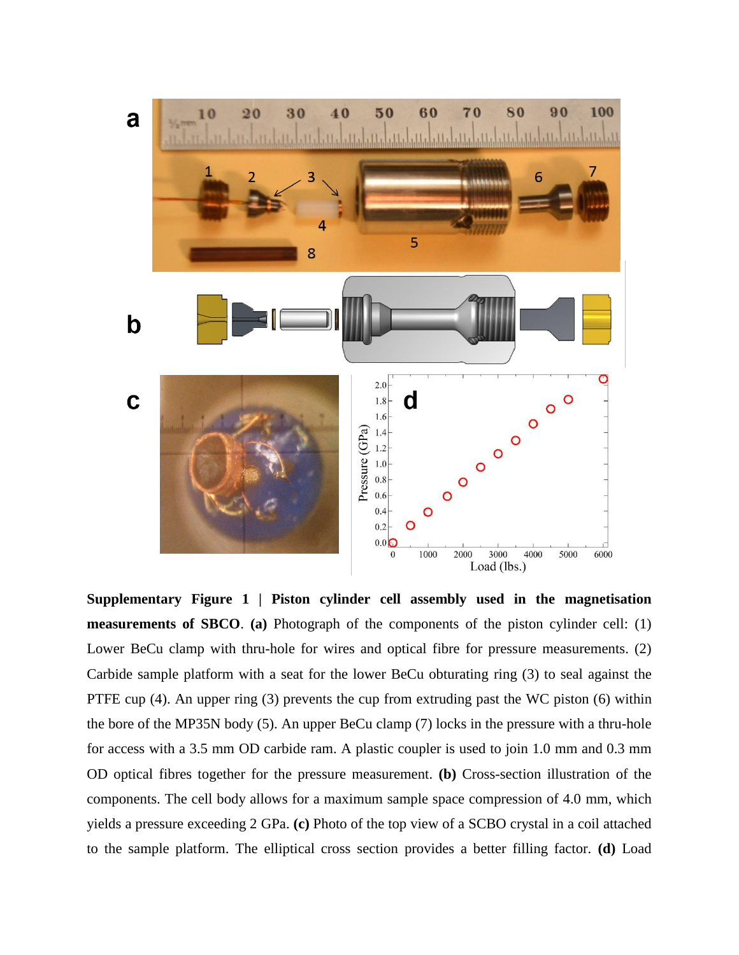

**Supplementary Figure 1 | Piston cylinder cell assembly used in the magnetisation measurements of SBCO**. **(a)** Photograph of the components of the piston cylinder cell: (1) Lower BeCu clamp with thru-hole for wires and optical fibre for pressure measurements. (2) Carbide sample platform with a seat for the lower BeCu obturating ring (3) to seal against the PTFE cup (4). An upper ring (3) prevents the cup from extruding past the WC piston (6) within the bore of the MP35N body (5). An upper BeCu clamp (7) locks in the pressure with a thru-hole for access with a 3.5 mm OD carbide ram. A plastic coupler is used to join 1.0 mm and 0.3 mm OD optical fibres together for the pressure measurement. **(b)** Cross-section illustration of the components. The cell body allows for a maximum sample space compression of 4.0 mm, which yields a pressure exceeding 2 GPa. **(c)** Photo of the top view of a SCBO crystal in a coil attached to the sample platform. The elliptical cross section provides a better filling factor. **(d)** Load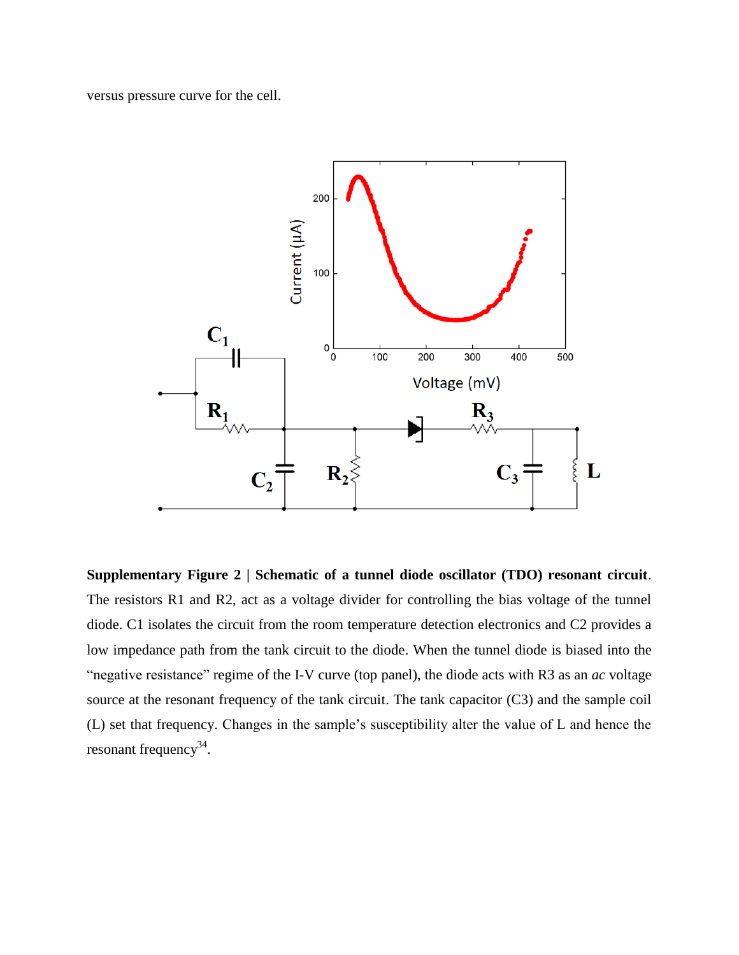versus pressure curve for the cell.



**Supplementary Figure 2 | Schematic of a tunnel diode oscillator (TDO) resonant circuit**. The resistors R1 and R2, act as a voltage divider for controlling the bias voltage of the tunnel diode. C1 isolates the circuit from the room temperature detection electronics and C2 provides a low impedance path from the tank circuit to the diode. When the tunnel diode is biased into the "negative resistance" regime of the I-V curve (top panel), the diode acts with R3 as an *ac* voltage source at the resonant frequency of the tank circuit. The tank capacitor (C3) and the sample coil (L) set that frequency. Changes in the sample's susceptibility alter the value of L and hence the resonant frequency<sup>34</sup>.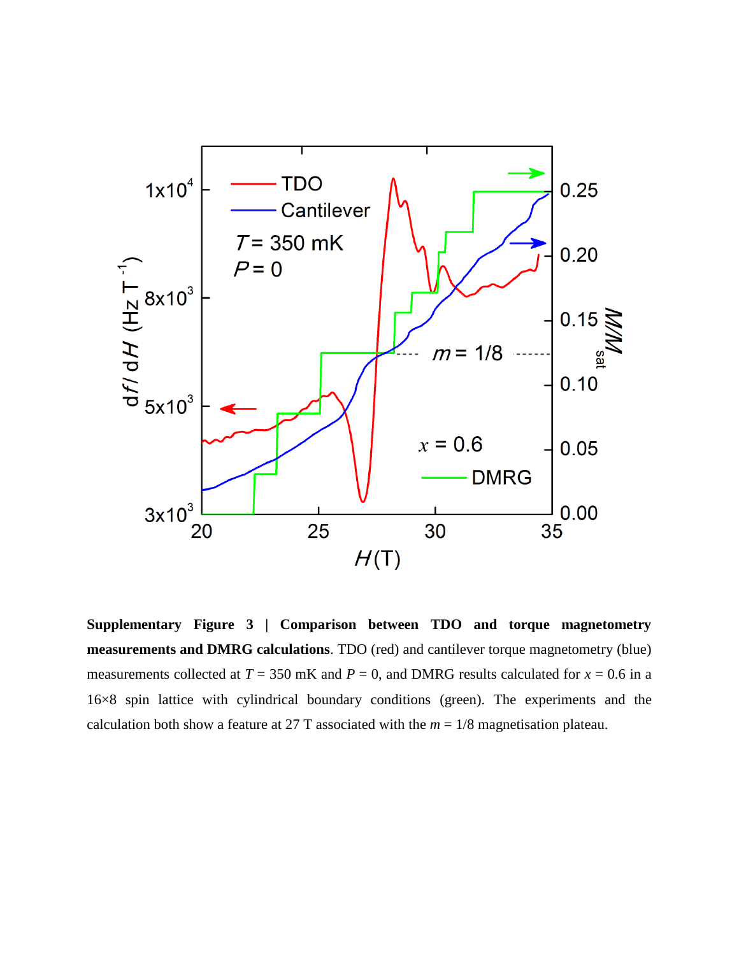

**Supplementary Figure 3 | Comparison between TDO and torque magnetometry measurements and DMRG calculations**. TDO (red) and cantilever torque magnetometry (blue) measurements collected at  $T = 350$  mK and  $P = 0$ , and DMRG results calculated for  $x = 0.6$  in a 16×8 spin lattice with cylindrical boundary conditions (green). The experiments and the calculation both show a feature at 27 T associated with the  $m = 1/8$  magnetisation plateau.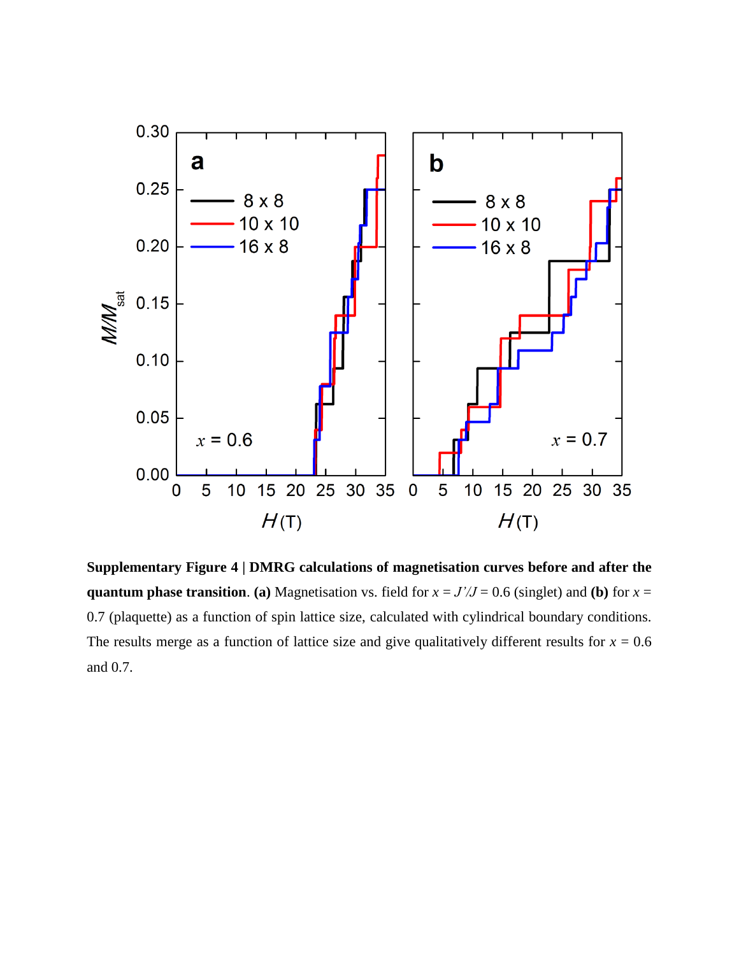

**Supplementary Figure 4 | DMRG calculations of magnetisation curves before and after the quantum phase transition. (a)** Magnetisation vs. field for  $x = J'/J = 0.6$  (singlet) and **(b)** for  $x =$ 0.7 (plaquette) as a function of spin lattice size, calculated with cylindrical boundary conditions. The results merge as a function of lattice size and give qualitatively different results for  $x = 0.6$ and 0.7.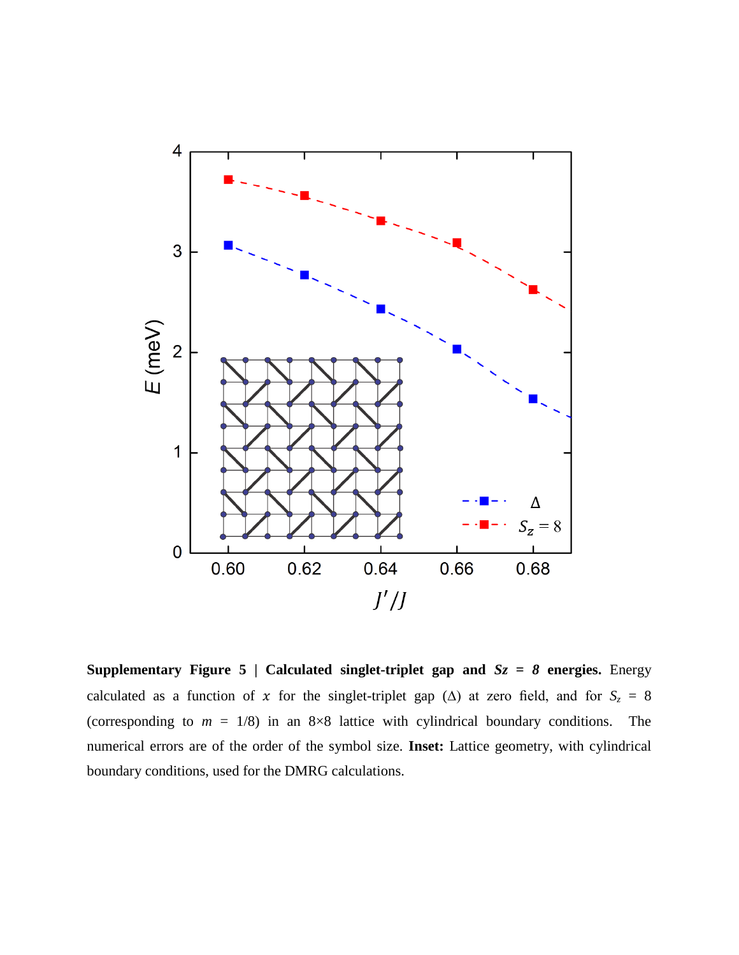

**Supplementary Figure 5 | Calculated singlet-triplet gap and** *Sz = 8* **energies.** Energy calculated as a function of x for the singlet-triplet gap ( $\triangle$ ) at zero field, and for  $S_z = 8$ (corresponding to  $m = 1/8$ ) in an  $8 \times 8$  lattice with cylindrical boundary conditions. The numerical errors are of the order of the symbol size. **Inset:** Lattice geometry, with cylindrical boundary conditions, used for the DMRG calculations.